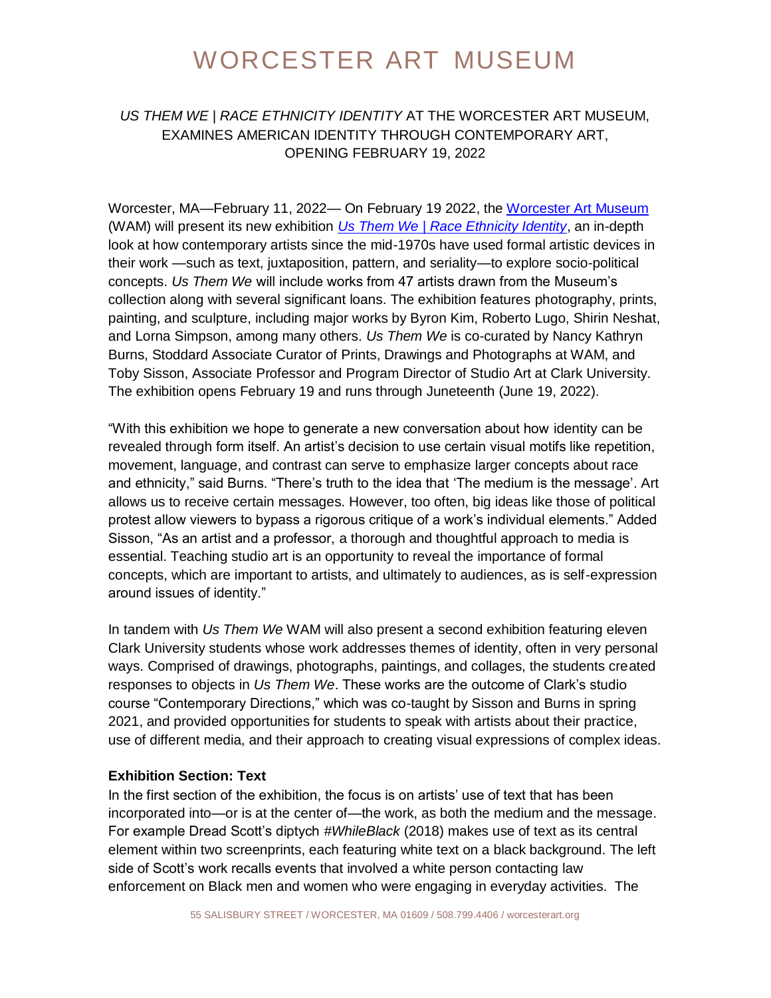### *US THEM WE | RACE ETHNICITY IDENTITY* AT THE WORCESTER ART MUSEUM, EXAMINES AMERICAN IDENTITY THROUGH CONTEMPORARY ART, OPENING FEBRUARY 19, 2022

Worcester, MA—February 11, 2022— On February 19 2022, the [Worcester Art Museum](https://www.worcesterart.org/) (WAM) will present its new exhibition *[Us Them We | Race Ethnicity Identity](https://www.worcesterart.org/exhibitions/us-them-we/)*, an in-depth look at how contemporary artists since the mid-1970s have used formal artistic devices in their work —such as text, juxtaposition, pattern, and seriality—to explore socio-political concepts. *Us Them We* will include works from 47 artists drawn from the Museum's collection along with several significant loans. The exhibition features photography, prints, painting, and sculpture, including major works by Byron Kim, Roberto Lugo, Shirin Neshat, and Lorna Simpson, among many others. *Us Them We* is co-curated by Nancy Kathryn Burns, Stoddard Associate Curator of Prints, Drawings and Photographs at WAM, and Toby Sisson, Associate Professor and Program Director of Studio Art at Clark University. The exhibition opens February 19 and runs through Juneteenth (June 19, 2022).

"With this exhibition we hope to generate a new conversation about how identity can be revealed through form itself. An artist's decision to use certain visual motifs like repetition, movement, language, and contrast can serve to emphasize larger concepts about race and ethnicity," said Burns. "There's truth to the idea that 'The medium is the message'. Art allows us to receive certain messages. However, too often, big ideas like those of political protest allow viewers to bypass a rigorous critique of a work's individual elements." Added Sisson, "As an artist and a professor, a thorough and thoughtful approach to media is essential. Teaching studio art is an opportunity to reveal the importance of formal concepts, which are important to artists, and ultimately to audiences, as is self-expression around issues of identity."

In tandem with *Us Them We* WAM will also present a second exhibition featuring eleven Clark University students whose work addresses themes of identity, often in very personal ways. Comprised of drawings, photographs, paintings, and collages, the students created responses to objects in *Us Them We*. These works are the outcome of Clark's studio course "Contemporary Directions," which was co-taught by Sisson and Burns in spring 2021, and provided opportunities for students to speak with artists about their practice, use of different media, and their approach to creating visual expressions of complex ideas.

#### **Exhibition Section: Text**

In the first section of the exhibition, the focus is on artists' use of text that has been incorporated into—or is at the center of—the work, as both the medium and the message. For example Dread Scott's diptych *#WhileBlack* (2018) makes use of text as its central element within two screenprints, each featuring white text on a black background. The left side of Scott's work recalls events that involved a white person contacting law enforcement on Black men and women who were engaging in everyday activities. The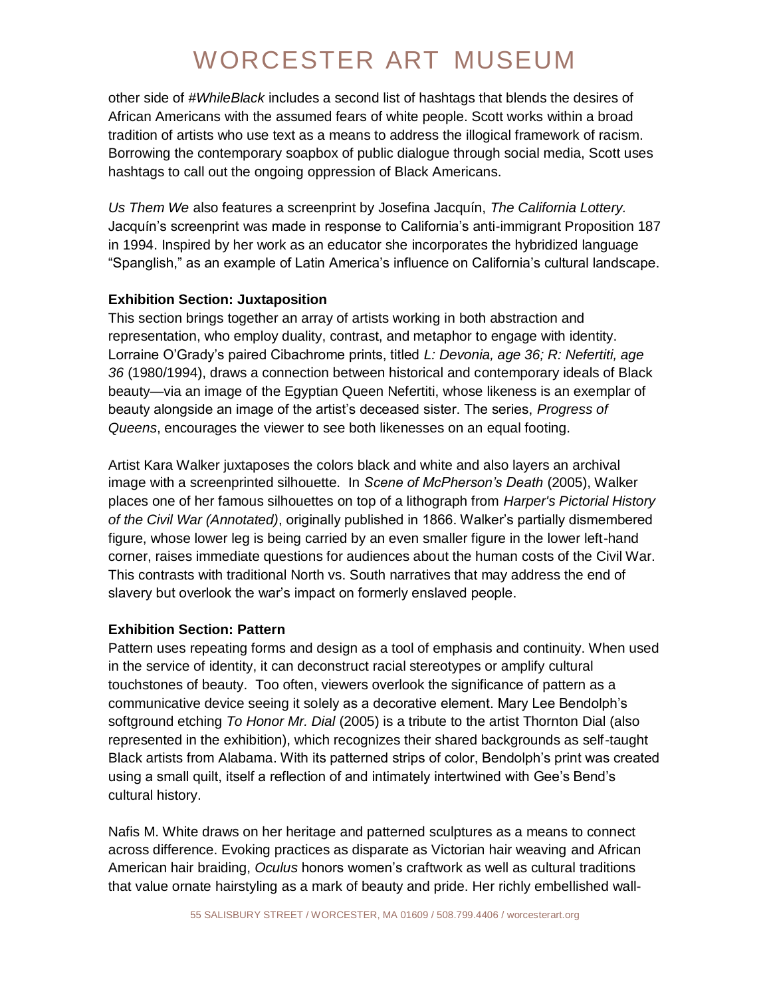other side of *#WhileBlack* includes a second list of hashtags that blends the desires of African Americans with the assumed fears of white people. Scott works within a broad tradition of artists who use text as a means to address the illogical framework of racism. Borrowing the contemporary soapbox of public dialogue through social media, Scott uses hashtags to call out the ongoing oppression of Black Americans.

*Us Them We* also features a screenprint by Josefina Jacquín, *The California Lottery.* Jacquín's screenprint was made in response to California's anti-immigrant Proposition 187 in 1994. Inspired by her work as an educator she incorporates the hybridized language "Spanglish," as an example of Latin America's influence on California's cultural landscape.

#### **Exhibition Section: Juxtaposition**

This section brings together an array of artists working in both abstraction and representation, who employ duality, contrast, and metaphor to engage with identity. Lorraine O'Grady's paired Cibachrome prints, titled *L: Devonia, age 36; R: Nefertiti, age 36* (1980/1994), draws a connection between historical and contemporary ideals of Black beauty—via an image of the Egyptian Queen Nefertiti, whose likeness is an exemplar of beauty alongside an image of the artist's deceased sister. The series, *Progress of Queens*, encourages the viewer to see both likenesses on an equal footing.

Artist Kara Walker juxtaposes the colors black and white and also layers an archival image with a screenprinted silhouette. In *Scene of McPherson's Death* (2005), Walker places one of her famous silhouettes on top of a lithograph from *Harper's Pictorial History of the Civil War (Annotated)*, originally published in 1866. Walker's partially dismembered figure, whose lower leg is being carried by an even smaller figure in the lower left-hand corner, raises immediate questions for audiences about the human costs of the Civil War. This contrasts with traditional North vs. South narratives that may address the end of slavery but overlook the war's impact on formerly enslaved people.

#### **Exhibition Section: Pattern**

Pattern uses repeating forms and design as a tool of emphasis and continuity. When used in the service of identity, it can deconstruct racial stereotypes or amplify cultural touchstones of beauty. Too often, viewers overlook the significance of pattern as a communicative device seeing it solely as a decorative element. Mary Lee Bendolph's softground etching *To Honor Mr. Dial* (2005) is a tribute to the artist Thornton Dial (also represented in the exhibition), which recognizes their shared backgrounds as self-taught Black artists from Alabama. With its patterned strips of color, Bendolph's print was created using a small quilt, itself a reflection of and intimately intertwined with Gee's Bend's cultural history.

Nafis M. White draws on her heritage and patterned sculptures as a means to connect across difference. Evoking practices as disparate as Victorian hair weaving and African American hair braiding, *Oculus* honors women's craftwork as well as cultural traditions that value ornate hairstyling as a mark of beauty and pride. Her richly embellished wall-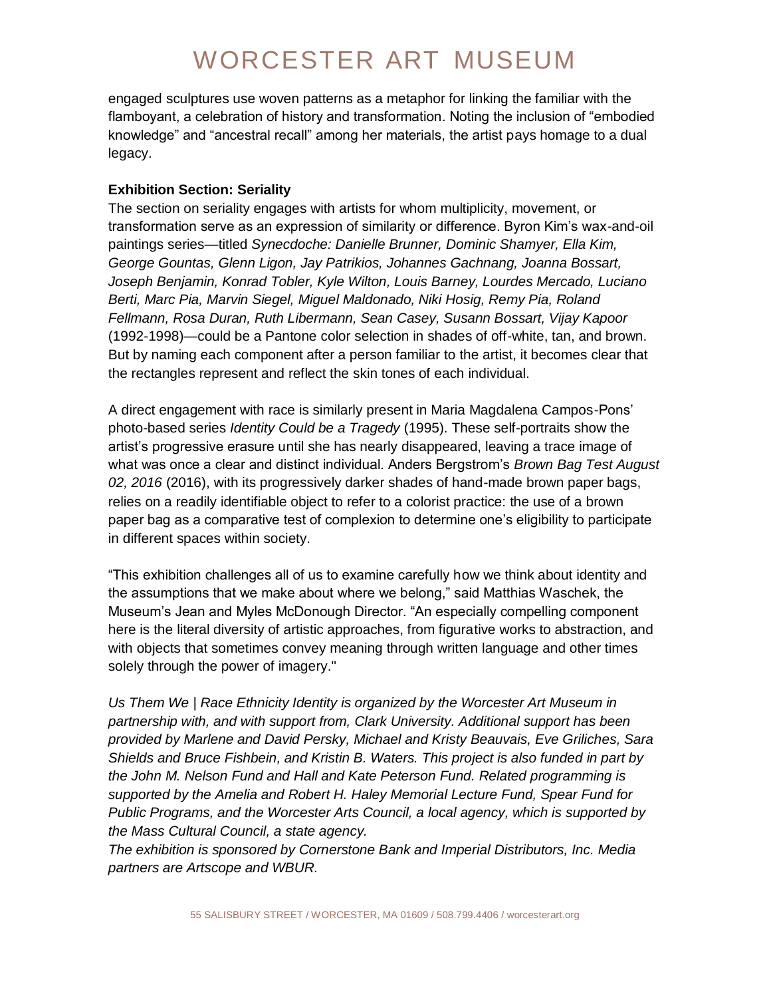engaged sculptures use woven patterns as a metaphor for linking the familiar with the flamboyant, a celebration of history and transformation. Noting the inclusion of "embodied knowledge" and "ancestral recall" among her materials, the artist pays homage to a dual legacy.

#### **Exhibition Section: Seriality**

The section on seriality engages with artists for whom multiplicity, movement, or transformation serve as an expression of similarity or difference. Byron Kim's wax-and-oil paintings series—titled *Synecdoche: Danielle Brunner, Dominic Shamyer, Ella Kim, George Gountas, Glenn Ligon, Jay Patrikios, Johannes Gachnang, Joanna Bossart, Joseph Benjamin, Konrad Tobler, Kyle Wilton, Louis Barney, Lourdes Mercado, Luciano Berti, Marc Pia, Marvin Siegel, Miguel Maldonado, Niki Hosig, Remy Pia, Roland Fellmann, Rosa Duran, Ruth Libermann, Sean Casey, Susann Bossart, Vijay Kapoor* (1992-1998)—could be a Pantone color selection in shades of off-white, tan, and brown. But by naming each component after a person familiar to the artist, it becomes clear that the rectangles represent and reflect the skin tones of each individual.

A direct engagement with race is similarly present in Maria Magdalena Campos-Pons' photo-based series *Identity Could be a Tragedy* (1995). These self-portraits show the artist's progressive erasure until she has nearly disappeared, leaving a trace image of what was once a clear and distinct individual. Anders Bergstrom's *Brown Bag Test August 02, 2016* (2016), with its progressively darker shades of hand-made brown paper bags, relies on a readily identifiable object to refer to a colorist practice: the use of a brown paper bag as a comparative test of complexion to determine one's eligibility to participate in different spaces within society.

"This exhibition challenges all of us to examine carefully how we think about identity and the assumptions that we make about where we belong," said Matthias Waschek, the Museum's Jean and Myles McDonough Director. "An especially compelling component here is the literal diversity of artistic approaches, from figurative works to abstraction, and with objects that sometimes convey meaning through written language and other times solely through the power of imagery."

*Us Them We | Race Ethnicity Identity is organized by the Worcester Art Museum in partnership with, and with support from, Clark University. Additional support has been provided by Marlene and David Persky, Michael and Kristy Beauvais, Eve Griliches, Sara Shields and Bruce Fishbein, and Kristin B. Waters. This project is also funded in part by the John M. Nelson Fund and Hall and Kate Peterson Fund. Related programming is supported by the Amelia and Robert H. Haley Memorial Lecture Fund, Spear Fund for Public Programs, and the Worcester Arts Council, a local agency, which is supported by the Mass Cultural Council, a state agency.*

*The exhibition is sponsored by Cornerstone Bank and Imperial Distributors, Inc. Media partners are Artscope and WBUR.*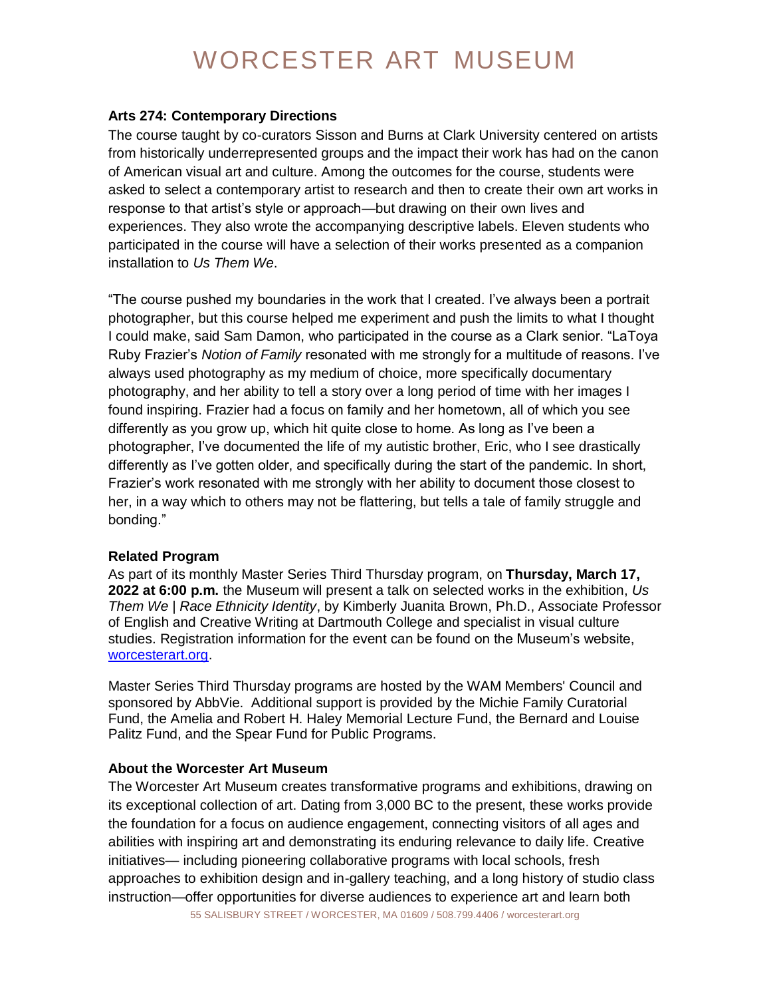#### **Arts 274: Contemporary Directions**

The course taught by co-curators Sisson and Burns at Clark University centered on artists from historically underrepresented groups and the impact their work has had on the canon of American visual art and culture. Among the outcomes for the course, students were asked to select a contemporary artist to research and then to create their own art works in response to that artist's style or approach—but drawing on their own lives and experiences. They also wrote the accompanying descriptive labels. Eleven students who participated in the course will have a selection of their works presented as a companion installation to *Us Them We*.

"The course pushed my boundaries in the work that I created. I've always been a portrait photographer, but this course helped me experiment and push the limits to what I thought I could make, said Sam Damon, who participated in the course as a Clark senior. "LaToya Ruby Frazier's *Notion of Family* resonated with me strongly for a multitude of reasons. I've always used photography as my medium of choice, more specifically documentary photography, and her ability to tell a story over a long period of time with her images I found inspiring. Frazier had a focus on family and her hometown, all of which you see differently as you grow up, which hit quite close to home. As long as I've been a photographer, I've documented the life of my autistic brother, Eric, who I see drastically differently as I've gotten older, and specifically during the start of the pandemic. In short, Frazier's work resonated with me strongly with her ability to document those closest to her, in a way which to others may not be flattering, but tells a tale of family struggle and bonding."

#### **Related Program**

As part of its monthly Master Series Third Thursday program, on **Thursday, March 17, 2022 at 6:00 p.m.** the Museum will present a talk on selected works in the exhibition, *Us Them We | Race Ethnicity Identity*, by Kimberly Juanita Brown, Ph.D., Associate Professor of English and Creative Writing at Dartmouth College and specialist in visual culture studies. Registration information for the event can be found on the Museum's website, [worcesterart.org.](https://www.worcesterart.org/events/master-series/)

Master Series Third Thursday programs are hosted by the WAM Members' Council and sponsored by AbbVie. Additional support is provided by the Michie Family Curatorial Fund, the Amelia and Robert H. Haley Memorial Lecture Fund, the Bernard and Louise Palitz Fund, and the Spear Fund for Public Programs.

#### **About the Worcester Art Museum**

The Worcester Art Museum creates transformative programs and exhibitions, drawing on its exceptional collection of art. Dating from 3,000 BC to the present, these works provide the foundation for a focus on audience engagement, connecting visitors of all ages and abilities with inspiring art and demonstrating its enduring relevance to daily life. Creative initiatives— including pioneering collaborative programs with local schools, fresh approaches to exhibition design and in-gallery teaching, and a long history of studio class instruction—offer opportunities for diverse audiences to experience art and learn both